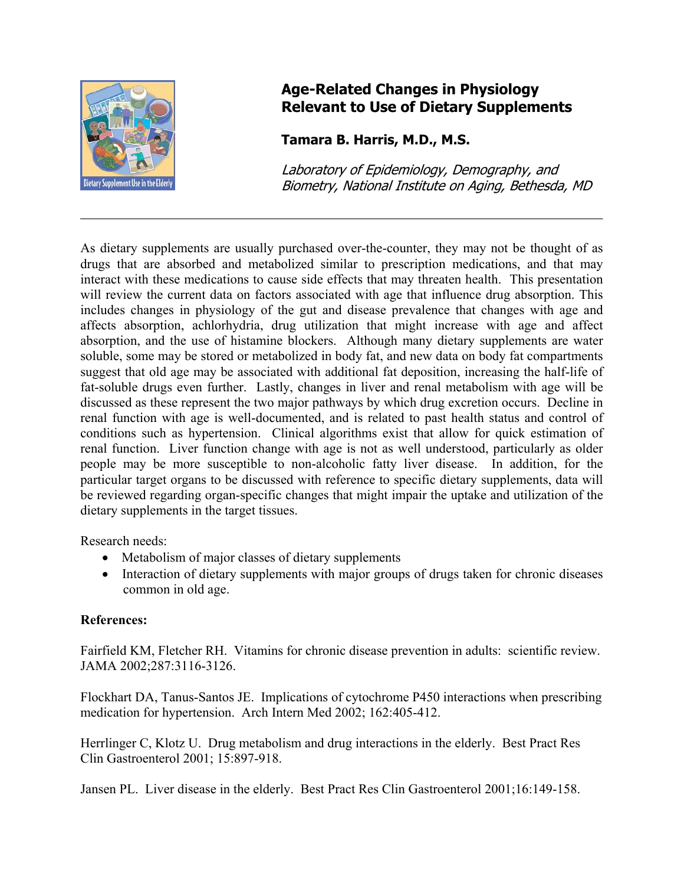

## **Age-Related Changes in Physiology Relevant to Use of Dietary Supplements**

## **Tamara B. Harris, M.D., M.S.**

Laboratory of Epidemiology, Demography, and Biometry, National Institute on Aging, Bethesda, MD

As dietary supplements are usually purchased over-the-counter, they may not be thought of as drugs that are absorbed and metabolized similar to prescription medications, and that may interact with these medications to cause side effects that may threaten health. This presentation will review the current data on factors associated with age that influence drug absorption. This includes changes in physiology of the gut and disease prevalence that changes with age and affects absorption, achlorhydria, drug utilization that might increase with age and affect absorption, and the use of histamine blockers. Although many dietary supplements are water soluble, some may be stored or metabolized in body fat, and new data on body fat compartments suggest that old age may be associated with additional fat deposition, increasing the half-life of fat-soluble drugs even further. Lastly, changes in liver and renal metabolism with age will be discussed as these represent the two major pathways by which drug excretion occurs. Decline in renal function with age is well-documented, and is related to past health status and control of conditions such as hypertension. Clinical algorithms exist that allow for quick estimation of renal function. Liver function change with age is not as well understood, particularly as older people may be more susceptible to non-alcoholic fatty liver disease. In addition, for the particular target organs to be discussed with reference to specific dietary supplements, data will be reviewed regarding organ-specific changes that might impair the uptake and utilization of the dietary supplements in the target tissues.

Research needs:

- Metabolism of major classes of dietary supplements
- Interaction of dietary supplements with major groups of drugs taken for chronic diseases common in old age.

## **References:**

Fairfield KM, Fletcher RH. Vitamins for chronic disease prevention in adults: scientific review. JAMA 2002;287:3116-3126.

Flockhart DA, Tanus-Santos JE. Implications of cytochrome P450 interactions when prescribing medication for hypertension. Arch Intern Med 2002; 162:405-412.

Herrlinger C, Klotz U. Drug metabolism and drug interactions in the elderly. Best Pract Res Clin Gastroenterol 2001; 15:897-918.

Jansen PL. Liver disease in the elderly. Best Pract Res Clin Gastroenterol 2001;16:149-158.